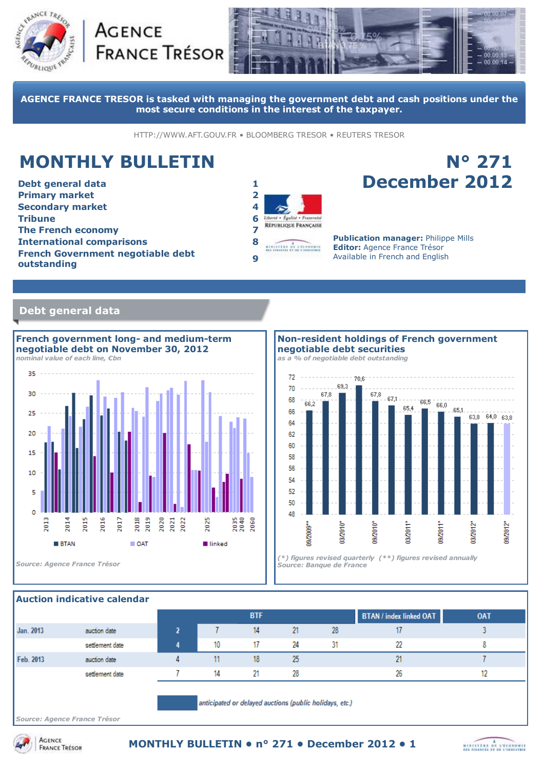





**AGENCE FRANCE TRESOR is tasked with managing the government debt and cash positions under the most secure conditions in the interest of the taxpayer.**

HTTP://WWW.AFT.GOUV.FR • BLOOMBERG TRESOR • REUTERS TRESOR

# **MONTHLY BULLETIN**

**Debt general data 1 Primary market 2 Secondary market 4 Tribune 6 The French economy 7 International comparisons 8 French Government negotiable debt outstanding <sup>9</sup>**



## **N° 271 December 2012**

**Publication manager:** Philippe Mills **Editor:** Agence France Trésor Available in French and English

### **Debt general data**



**Non-resident holdings of French government negotiable debt securities**

*as a % of negotiable debt outstanding*



### **Auction indicative calendar**

|           |                                                         |  |    | <b>BTF</b> |    |    | <b>BTAN</b> / index linked OAT | <b>OAT</b> |
|-----------|---------------------------------------------------------|--|----|------------|----|----|--------------------------------|------------|
| Jan. 2013 | auction date                                            |  |    | 14         | 21 | 28 |                                |            |
|           | settlement date                                         |  | 10 | 17         | 24 | 31 | 22                             |            |
| Feb. 2013 | auction date                                            |  |    | 18         | 25 |    |                                |            |
|           | settlement date                                         |  | 14 | 21         | 28 |    | 26                             |            |
|           | anticipated or delayed auctions (public holidays, etc.) |  |    |            |    |    |                                |            |

*Source: Agence France Trésor*

**ACENCE** 

**FRANCE TRÉSOR** 

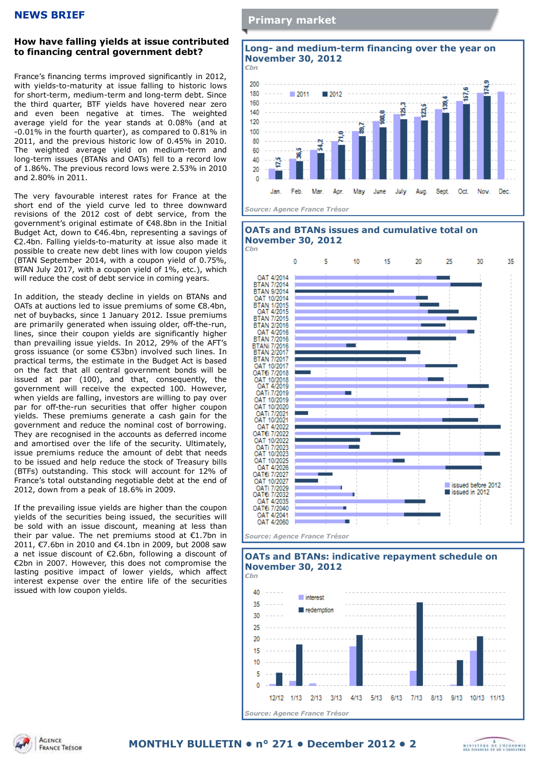### **NEWS BRIEF**

### **How have falling yields at issue contributed to financing central government debt?**

France's financing terms improved significantly in 2012, with yields-to-maturity at issue falling to historic lows for short-term, medium-term and long-term debt. Since the third quarter, BTF yields have hovered near zero and even been negative at times. The weighted average yield for the year stands at 0.08% (and at -0.01% in the fourth quarter), as compared to 0.81% in 2011, and the previous historic low of 0.45% in 2010. The weighted average yield on medium-term and long-term issues (BTANs and OATs) fell to a record low of 1.86%. The previous record lows were 2.53% in 2010 and 2.80% in 2011.

The very favourable interest rates for France at the short end of the yield curve led to three downward revisions of the 2012 cost of debt service, from the government's original estimate of €48.8bn in the Initial Budget Act, down to €46.4bn, representing a savings of €2.4bn. Falling yields-to-maturity at issue also made it possible to create new debt lines with low coupon yields (BTAN September 2014, with a coupon yield of 0.75%, BTAN July 2017, with a coupon yield of 1%, etc.), which will reduce the cost of debt service in coming years.

In addition, the steady decline in yields on BTANs and OATs at auctions led to issue premiums of some €8.4bn, net of buybacks, since 1 January 2012. Issue premiums are primarily generated when issuing older, off-the-run, lines, since their coupon yields are significantly higher than prevailing issue yields. In 2012, 29% of the AFT's gross issuance (or some €53bn) involved such lines. In practical terms, the estimate in the Budget Act is based on the fact that all central government bonds will be issued at par (100), and that, consequently, the government will receive the expected 100. However, when yields are falling, investors are willing to pay over par for off-the-run securities that offer higher coupon yields. These premiums generate a cash gain for the government and reduce the nominal cost of borrowing. They are recognised in the accounts as deferred income and amortised over the life of the security. Ultimately, issue premiums reduce the amount of debt that needs to be issued and help reduce the stock of Treasury bills (BTFs) outstanding. This stock will account for 12% of France's total outstanding negotiable debt at the end of 2012, down from a peak of 18.6% in 2009.

If the prevailing issue yields are higher than the coupon yields of the securities being issued, the securities will be sold with an issue discount, meaning at less than their par value. The net premiums stood at €1.7bn in 2011, €7.6bn in 2010 and €4.1bn in 2009, but 2008 saw a net issue discount of €2.6bn, following a discount of €2bn in 2007. However, this does not compromise the lasting positive impact of lower yields, which affect interest expense over the entire life of the securities issued with low coupon yields.



*Source: Agence France Trésor*





*Source: Agence France Trésor*



## **OATs and BTANs: indicative repayment schedule on**

**ACENCE FRANCE TRÉSOR**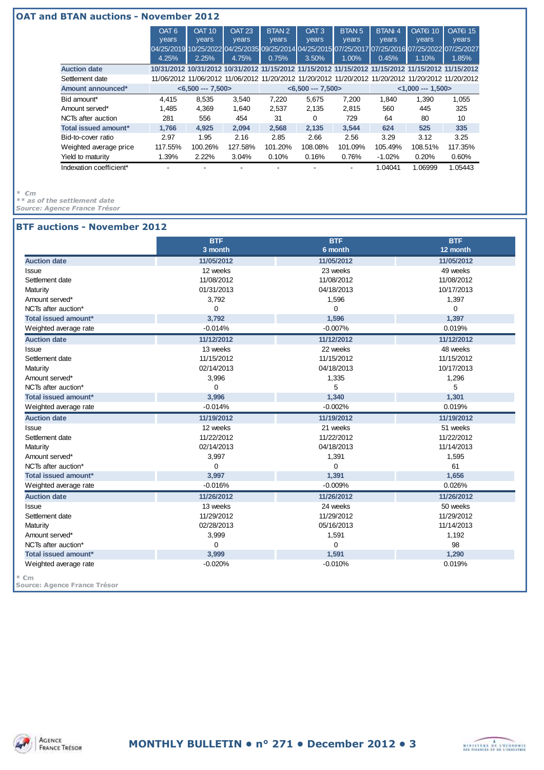#### **OAT and BTAN auctions - November 2012** OAT<sub>6</sub> years OAT 10 years OAT 23 years BTAN 2 years OAT 3 years BTAN<sub>5</sub> years BTANi 4 years OAT€i 10 years OAT€i 15 years 04/25/2019 10/25/2022 04/25/2035 09/25/2014 04/25/2015 07/25/2017 07/25/2016 07/25/2022 07/25/2027 4.25% 2.25% 4.75% 0.75% 3.50% 1.00% 0.45% 1.10% 1.85% **Auction date 10/31/2012 10/31/2012 10/31/2012 11/15/2012 11/15/2012 11/15/2012 11/15/2012 11/15/2012 11/15/2012** Settlement date 11/06/2012 11/06/2012 11/06/2012 11/20/2012 11/20/2012 11/20/2012 11/20/2012 11/20/2012 11/20/2012 **Amount announced\* <6,500 --- 7,500> <6,500 --- 7,500> <1,000 --- 1,500>** Bid amount\* 4,415 8,535 3,540 7,220 5,675 7,200 1,840 1,390 1,055 Amount served\* 1,485 4,369 1,640 2,537 2,135 2,815 560 445 325 NCTs after auction 281 556 454 31 0 729 64 80 10 **Total issued amount\* 1,766 4,925 2,094 2,568 2,135 3,544 624 525 335** Bid-to-cover ratio 2.97 1.95 2.16 2.85 2.66 2.56 3.29 3.12 3.25 Weighted average price 117.55% 100.26% 127.58% 101.20% 108.08% 101.09% 105.49% 108.51% 117.35% Yield to maturity 1.39% 2.22% 3.04% 0.10% 0.16% 0.76% -1.02% 0.20% 0.60% Indexation coefficient\* - - - - - - 1.04041 1.06999 1.05443

*\* €m*

*\*\* as of the settlement date*

*Source: Agence France Trésor*

#### **BTF auctions - November 2012**

|                             | <b>BTF</b><br>3 month | <b>BTF</b><br>6 month | <b>BTF</b><br>12 month |
|-----------------------------|-----------------------|-----------------------|------------------------|
| <b>Auction date</b>         | 11/05/2012            | 11/05/2012            | 11/05/2012             |
| <b>Issue</b>                | 12 weeks              | 23 weeks              | 49 weeks               |
| Settlement date             | 11/08/2012            | 11/08/2012            | 11/08/2012             |
| Maturity                    | 01/31/2013            | 04/18/2013            | 10/17/2013             |
| Amount served*              | 3,792                 | 1,596                 | 1,397                  |
| NCTs after auction*         | 0                     | $\mathbf 0$           | 0                      |
| Total issued amount*        | 3.792                 | 1,596                 | 1,397                  |
| Weighted average rate       | $-0.014%$             | $-0.007%$             | 0.019%                 |
| <b>Auction date</b>         | 11/12/2012            | 11/12/2012            | 11/12/2012             |
| <b>Issue</b>                | 13 weeks              | 22 weeks              | 48 weeks               |
| Settlement date             | 11/15/2012            | 11/15/2012            | 11/15/2012             |
| Maturity                    | 02/14/2013            | 04/18/2013            | 10/17/2013             |
| Amount served*              | 3,996                 | 1,335                 | 1,296                  |
| NCTs after auction*         | $\Omega$              | 5                     | 5                      |
| Total issued amount*        | 3,996                 | 1,340                 | 1,301                  |
| Weighted average rate       | $-0.014%$             | $-0.002%$             | 0.019%                 |
| <b>Auction date</b>         | 11/19/2012            | 11/19/2012            | 11/19/2012             |
| <b>Issue</b>                | 12 weeks              | 21 weeks              | 51 weeks               |
| Settlement date             | 11/22/2012            | 11/22/2012            | 11/22/2012             |
| Maturity                    | 02/14/2013            | 04/18/2013            | 11/14/2013             |
| Amount served*              | 3,997                 | 1,391                 | 1,595                  |
| NCTs after auction*         | 0                     | $\mathbf 0$           | 61                     |
| Total issued amount*        | 3,997                 | 1,391                 | 1,656                  |
| Weighted average rate       | $-0.016%$             | $-0.009%$             | 0.026%                 |
| <b>Auction date</b>         | 11/26/2012            | 11/26/2012            | 11/26/2012             |
| Issue                       | 13 weeks              | 24 weeks              | 50 weeks               |
| Settlement date             | 11/29/2012            | 11/29/2012            | 11/29/2012             |
| Maturity                    | 02/28/2013            | 05/16/2013            | 11/14/2013             |
| Amount served*              | 3,999                 | 1,591                 | 1,192                  |
| NCTs after auction*         | $\Omega$              | $\mathbf 0$           | 98                     |
| <b>Total issued amount*</b> | 3,999                 | 1,591                 | 1,290                  |
|                             |                       | $-0.010%$             | 0.019%                 |

**Source: Agence France Trésor**



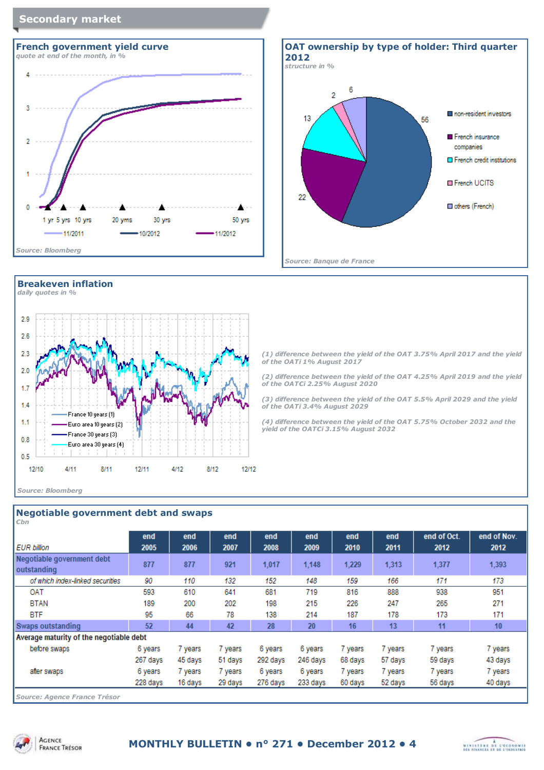### **Secondary market**



### **Breakeven inflation**





**OAT ownership by type of holder: Third quarter 2012** *structure in %* 6  $\overline{2}$ non-resident investors  $13$ 56 French insurance companies  $\Box$  French credit institutions **E** French UCITS 22 others (French) *Source: Banque de France*

*(1) difference between the yield of the OAT 3.75% April 2017 and the yield of the OATi 1% August 2017*

*(2) difference between the yield of the OAT 4.25% April 2019 and the yield of the OAT€i 2.25% August 2020*

*(3) difference between the yield of the OAT 5.5% April 2029 and the yield of the OATi 3.4% August 2029*

*(4) difference between the yield of the OAT 5.75% October 2032 and the yield of the OAT€i 3.15% August 2032*

| Negotiable government debt and swaps<br>Chn |             |             |             |             |             |             |             |                     |                     |
|---------------------------------------------|-------------|-------------|-------------|-------------|-------------|-------------|-------------|---------------------|---------------------|
| <b>EUR billion</b>                          | end<br>2005 | end<br>2006 | end<br>2007 | end<br>2008 | end<br>2009 | end<br>2010 | end<br>2011 | end of Oct.<br>2012 | end of Nov.<br>2012 |
| Negotiable government debt<br>outstanding   | 877         | 877         | 921         | 1,017       | 1,148       | 1,229       | 1,313       | 1,377               | 1,393               |
| of which index-linked securities            | 90          | 110         | 132         | 152         | 148         | 159         | 166         | 171                 | 173                 |
| OAT                                         | 593         | 610         | 641         | 681         | 719         | 816         | 888         | 938                 | 951                 |
| <b>BTAN</b>                                 | 189         | 200         | 202         | 198         | 215         | 226         | 247         | 265                 | 271                 |
| <b>BTF</b>                                  | 95          | 66          | 78          | 138         | 214         | 187         | 178         | 173                 | 171                 |
| Swaps outstanding                           | 52          | 44          | 42          | 28          | 20          | 16          | 13          | 11                  | 10                  |
| Average maturity of the negotiable debt     |             |             |             |             |             |             |             |                     |                     |
| before swaps                                | 6 years     | 7 years     | 7 years     | 6 years     | 6 years     | 7 years     | 7 years     | 7 years             | 7 years             |
|                                             | 267 days    | 45 days     | 51 days     | 292 days    | 246 days    | 68 days     | 57 days     | 59 days             | 43 days             |
| after swaps                                 | 6 years     | 7 years     | 7 years     | 6 years     | 6 years     | 7 years     | 7 years     | 7 years             | 7 years             |
|                                             | 228 days    | 16 days     | 29 days     | 276 days    | 233 days    | 60 days     | 52 days     | 56 days             | 40 days             |
| Source: Agence France Trésor                |             |             |             |             |             |             |             |                     |                     |

**ACENCE** 



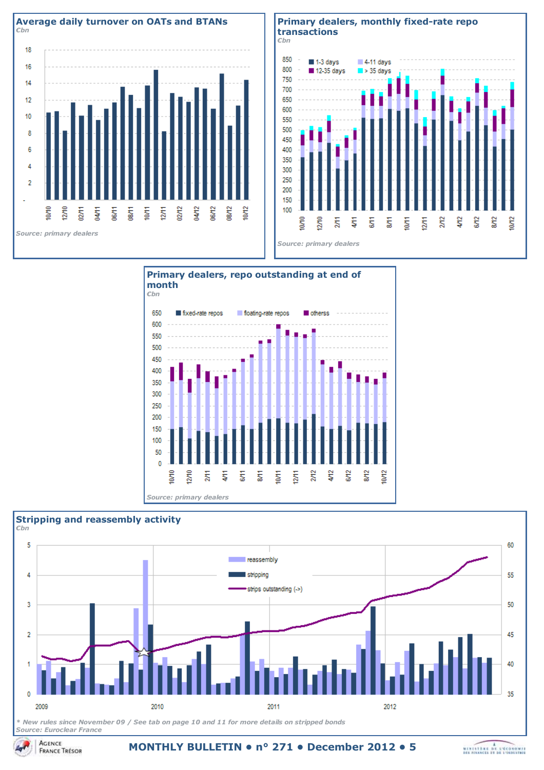





*Source: primary dealers*



*\* New rules since November 09 / See tab on page 10 and 11 for more details on stripped bonds Source: Euroclear France*

**MONTHLY BULLETIN • n° 271 • December 2012 • 5**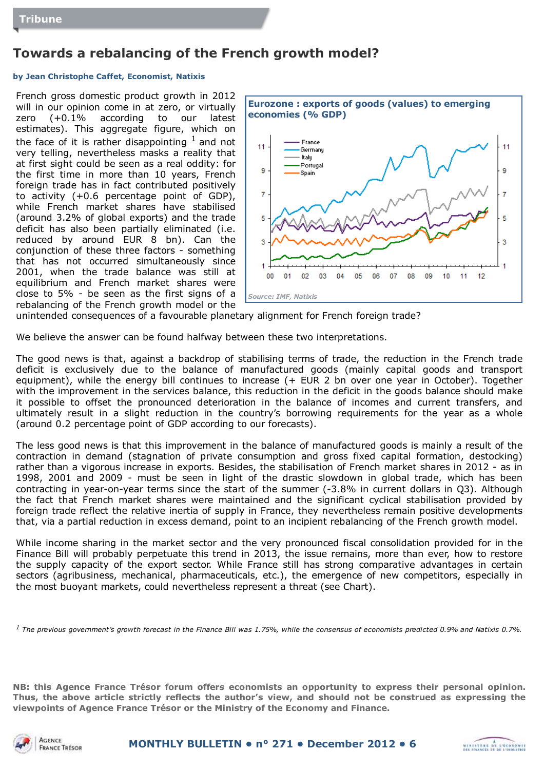## **Towards a rebalancing of the French growth model?**

### **by Jean Christophe Caffet, Economist, Natixis**

French gross domestic product growth in 2012 will in our opinion come in at zero, or virtually zero (+0.1% according to our latest estimates). This aggregate figure, which on the face of it is rather disappointing  $<sup>1</sup>$  and not</sup> very telling, nevertheless masks a reality that at first sight could be seen as a real oddity: for the first time in more than 10 years, French foreign trade has in fact contributed positively to activity (+0.6 percentage point of GDP), while French market shares have stabilised (around 3.2% of global exports) and the trade deficit has also been partially eliminated (i.e. reduced by around EUR 8 bn). Can the conjunction of these three factors - something that has not occurred simultaneously since 2001, when the trade balance was still at equilibrium and French market shares were close to 5% - be seen as the first signs of a rebalancing of the French growth model or the



unintended consequences of a favourable planetary alignment for French foreign trade?

We believe the answer can be found halfway between these two interpretations.

The good news is that, against a backdrop of stabilising terms of trade, the reduction in the French trade deficit is exclusively due to the balance of manufactured goods (mainly capital goods and transport equipment), while the energy bill continues to increase (+ EUR 2 bn over one year in October). Together with the improvement in the services balance, this reduction in the deficit in the goods balance should make it possible to offset the pronounced deterioration in the balance of incomes and current transfers, and ultimately result in a slight reduction in the country's borrowing requirements for the year as a whole (around 0.2 percentage point of GDP according to our forecasts).

The less good news is that this improvement in the balance of manufactured goods is mainly a result of the contraction in demand (stagnation of private consumption and gross fixed capital formation, destocking) rather than a vigorous increase in exports. Besides, the stabilisation of French market shares in 2012 - as in 1998, 2001 and 2009 - must be seen in light of the drastic slowdown in global trade, which has been contracting in year-on-year terms since the start of the summer (-3.8% in current dollars in Q3). Although the fact that French market shares were maintained and the significant cyclical stabilisation provided by foreign trade reflect the relative inertia of supply in France, they nevertheless remain positive developments that, via a partial reduction in excess demand, point to an incipient rebalancing of the French growth model.

While income sharing in the market sector and the very pronounced fiscal consolidation provided for in the Finance Bill will probably perpetuate this trend in 2013, the issue remains, more than ever, how to restore the supply capacity of the export sector. While France still has strong comparative advantages in certain sectors (agribusiness, mechanical, pharmaceuticals, etc.), the emergence of new competitors, especially in the most buoyant markets, could nevertheless represent a threat (see Chart).

*<sup>1</sup>The previous government's growth forecast in the Finance Bill was 1.75%, while the consensus of economists predicted 0.9% and Natixis 0.7%.*

**NB: this Agence France Trésor forum offers economists an opportunity to express their personal opinion. Thus, the above article strictly reflects the author's view, and should not be construed as expressing the viewpoints of Agence France Trésor or the Ministry of the Economy and Finance.**



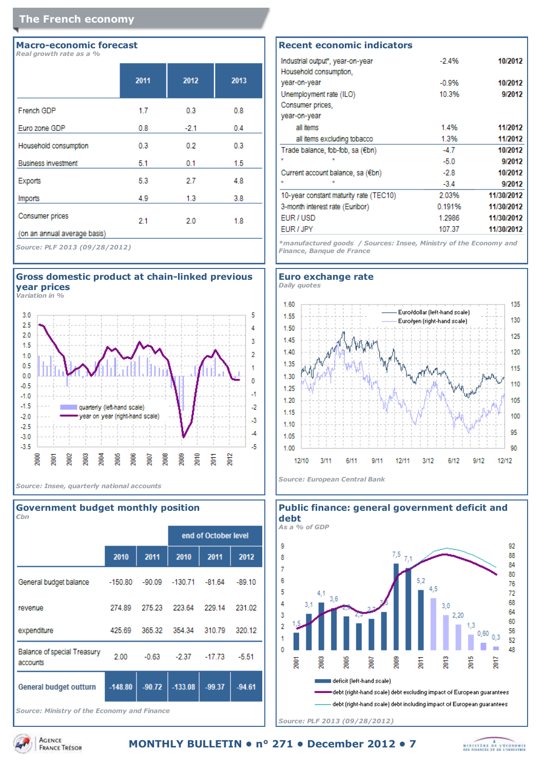### **The French economy**

#### **Macro-economic forecast** *Real growth rate as a %*

|                              | 2011 | 2012   | 2013 |
|------------------------------|------|--------|------|
| French GDP                   | 1.7  | 0.3    | 0.8  |
| Euro zone GDP                | 0.8  | $-2.1$ | 0.4  |
| Household consumption        | 0.3  | 0.2    | 0.3  |
| <b>Business investment</b>   | 5.1  | 0.1    | 1.5  |
| Exports                      | 5.3  | 2.7    | 4.8  |
| Imports                      | 4.9  | 1.3    | 3.8  |
| Consumer prices              | 2.1  | 2.0    | 1.8  |
| (on an annual average basis) |      |        |      |

*Source: PLF 2013 (09/28/2012)*



*Variation in %*



*Source: Insee, quarterly national accounts*

#### **Government budget monthly position** *€bn*

|                                                |           |          |                  | end of October level |          |
|------------------------------------------------|-----------|----------|------------------|----------------------|----------|
|                                                | 2010      | 2011     | 2010             | 2011                 | 2012     |
| General budget balance                         | $-150.80$ |          | $-90.09 -130.71$ | $-81.64$             | $-89.10$ |
| revenue                                        | 274.89    | 275.23   | 223.64           | 229.14               | 231.02   |
| expenditure                                    | 425.69    | 365.32   | 354.34           | 310.79               | 320.12   |
| <b>Balance of special Treasury</b><br>accounts | 2.00      | $-0.63$  | $-2.37$          | $-17.73$             | $-5.51$  |
| General budget outturn                         | $-148.80$ | $-90.72$ | $-133.08$        | $-99.37$             | $-94.61$ |
| $   -$                                         |           |          |                  |                      |          |

*Source: Ministry of the Economy and Finance*

| <b>Recent economic indicators</b>      |         |            |
|----------------------------------------|---------|------------|
| Industrial output*, year-on-year       | $-2.4%$ | 10/2012    |
| Household consumption,                 |         |            |
| year-on-year                           | $-0.9%$ | 10/2012    |
| Unemployment rate (ILO)                | 10.3%   | 9/2012     |
| Consumer prices,                       |         |            |
| year-on-year                           |         |            |
| all items                              | 1.4%    | 11/2012    |
| all items excluding tobacco            | 1.3%    | 11/2012    |
| Trade balance, fob-fob, sa (€bn)       | $-4.7$  | 10/2012    |
|                                        | $-5.0$  | 9/2012     |
| Current account balance, sa (€bn)      | $-2.8$  | 10/2012    |
|                                        | $-3.4$  | 9/2012     |
| 10-year constant maturity rate (TEC10) | 2.03%   | 11/30/2012 |
| 3-month interest rate (Euribor)        | 0.191%  | 11/30/2012 |

*\*manufactured goods / Sources: Insee, Ministry of the Economy and Finance, Banque de France*

1.2986

107.37

11/30/2012

11/30/2012

EUR/USD

EUR / JPY





*Source: PLF 2013 (09/28/2012)*

**ACENCE FRANCE TRESOR** 

MINISTERS DE L'ECONOMIE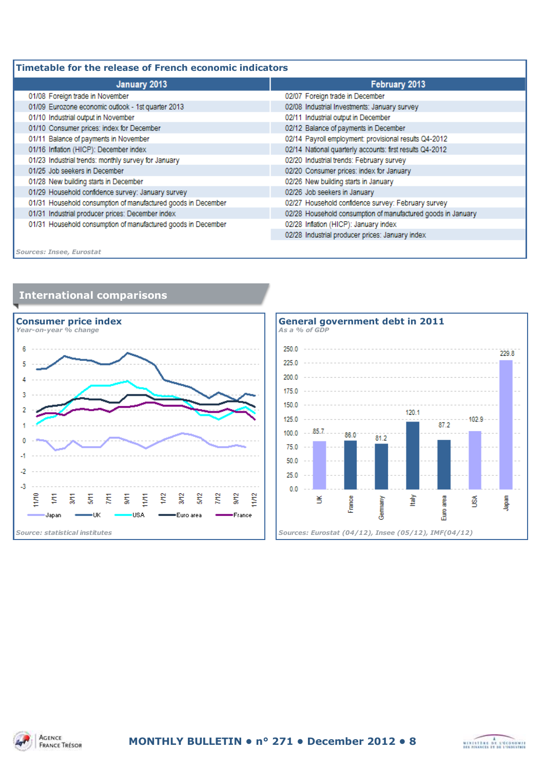| Timetable for the release of French economic indicators |  |  |  |
|---------------------------------------------------------|--|--|--|
|                                                         |  |  |  |

| January 2013                                                  | February 2013                                                |
|---------------------------------------------------------------|--------------------------------------------------------------|
| 01/08 Foreign trade in November                               | 02/07 Foreign trade in December                              |
| 01/09 Eurozone economic outlook - 1st quarter 2013            | 02/08 Industrial Investments: January survey                 |
| 01/10 Industrial output in November                           | 02/11 Industrial output in December                          |
| 01/10 Consumer prices: index for December                     | 02/12 Balance of payments in December                        |
| 01/11 Balance of payments in November                         | 02/14 Payroll employment: provisional results Q4-2012        |
| 01/16 Inflation (HICP): December index                        | 02/14 National quarterly accounts: first results Q4-2012     |
| 01/23 Industrial trends: monthly survey for January           | 02/20 Industrial trends: February survey                     |
| 01/25 Job seekers in December                                 | 02/20 Consumer prices: index for January                     |
| 01/28 New building starts in December                         | 02/26 New building starts in January                         |
| 01/29 Household confidence survey: January survey             | 02/26 Job seekers in January                                 |
| 01/31 Household consumption of manufactured goods in December | 02/27 Household confidence survey: February survey           |
| 01/31 Industrial producer prices: December index              | 02/28 Household consumption of manufactured goods in January |
| 01/31 Household consumption of manufactured goods in December | 02/28 Inflation (HICP): January index                        |
|                                                               | 02/28 Industrial producer prices: January index              |
|                                                               |                                                              |

*Sources: Insee, Eurostat*





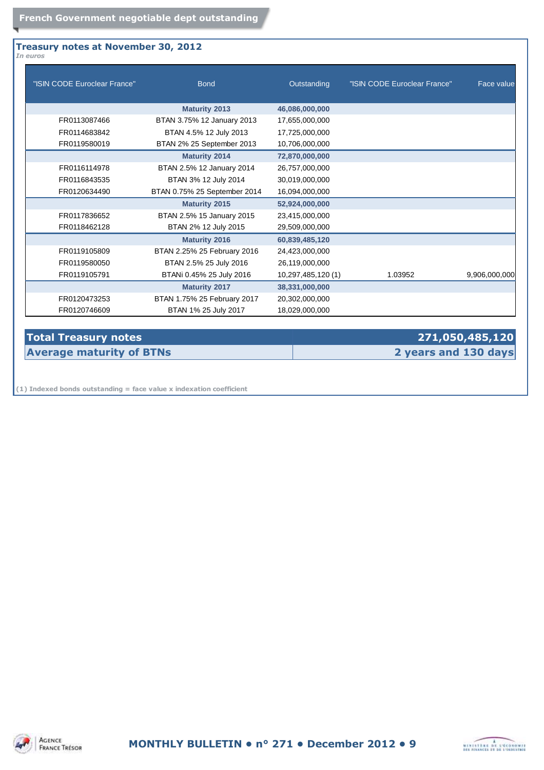### **Treasury notes at November 30, 2012** *In euros*

| "ISIN CODE Euroclear France" | <b>Bond</b>                  | Outstanding       | "ISIN CODE Euroclear France" | Face value    |
|------------------------------|------------------------------|-------------------|------------------------------|---------------|
|                              | <b>Maturity 2013</b>         | 46,086,000,000    |                              |               |
| FR0113087466                 | BTAN 3.75% 12 January 2013   | 17,655,000,000    |                              |               |
| FR0114683842                 | BTAN 4.5% 12 July 2013       | 17,725,000,000    |                              |               |
| FR0119580019                 | BTAN 2% 25 September 2013    | 10,706,000,000    |                              |               |
|                              | <b>Maturity 2014</b>         | 72,870,000,000    |                              |               |
| FR0116114978                 | BTAN 2.5% 12 January 2014    | 26,757,000,000    |                              |               |
| FR0116843535                 | BTAN 3% 12 July 2014         | 30,019,000,000    |                              |               |
| FR0120634490                 | BTAN 0.75% 25 September 2014 | 16,094,000,000    |                              |               |
|                              | <b>Maturity 2015</b>         | 52,924,000,000    |                              |               |
| FR0117836652                 | BTAN 2.5% 15 January 2015    | 23,415,000,000    |                              |               |
| FR0118462128                 | BTAN 2% 12 July 2015         | 29,509,000,000    |                              |               |
|                              | <b>Maturity 2016</b>         | 60,839,485,120    |                              |               |
| FR0119105809                 | BTAN 2.25% 25 February 2016  | 24,423,000,000    |                              |               |
| FR0119580050                 | BTAN 2.5% 25 July 2016       | 26,119,000,000    |                              |               |
| FR0119105791                 | BTANi 0.45% 25 July 2016     | 10,297,485,120(1) | 1.03952                      | 9,906,000,000 |
|                              | <b>Maturity 2017</b>         | 38,331,000,000    |                              |               |
| FR0120473253                 | BTAN 1.75% 25 February 2017  | 20,302,000,000    |                              |               |
| FR0120746609                 | BTAN 1% 25 July 2017         | 18,029,000,000    |                              |               |

### **Total Treasury notes 271,050,485,120 Average maturity of BTNs 2 years and 130 days**

**(1) Indexed bonds outstanding = face value x indexation coefficient**

AGENCE **FRANCE TRESOR** 

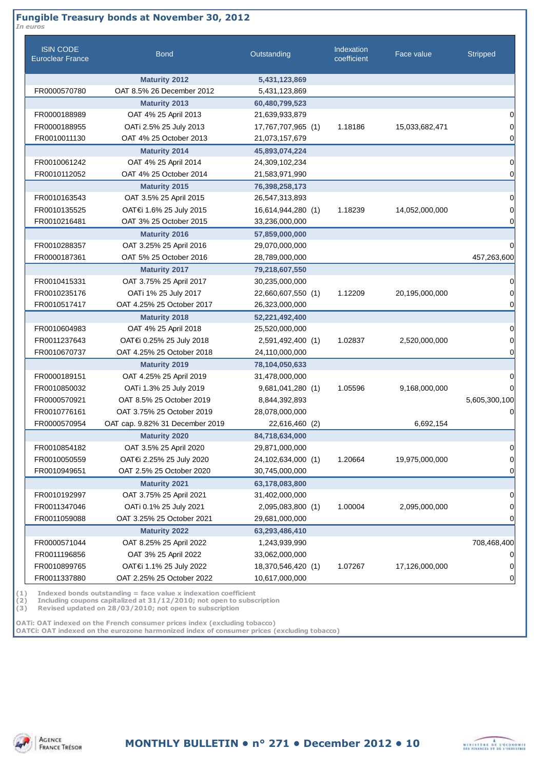### **Fungible Treasury bonds at November 30, 2012**

| <b>ISIN CODE</b><br><b>Euroclear France</b> | <b>Bond</b>                     | Outstanding        | Indexation<br>coefficient | Face value     | <b>Stripped</b> |
|---------------------------------------------|---------------------------------|--------------------|---------------------------|----------------|-----------------|
|                                             | <b>Maturity 2012</b>            | 5,431,123,869      |                           |                |                 |
| FR0000570780                                | OAT 8.5% 26 December 2012       | 5,431,123,869      |                           |                |                 |
|                                             | <b>Maturity 2013</b>            | 60,480,799,523     |                           |                |                 |
| FR0000188989                                | OAT 4% 25 April 2013            | 21,639,933,879     |                           |                |                 |
| FR0000188955                                | OATi 2.5% 25 July 2013          | 17,767,707,965 (1) | 1.18186                   | 15,033,682,471 |                 |
| FR0010011130                                | OAT 4% 25 October 2013          | 21,073,157,679     |                           |                |                 |
|                                             | <b>Maturity 2014</b>            | 45,893,074,224     |                           |                |                 |
| FR0010061242                                | OAT 4% 25 April 2014            | 24,309,102,234     |                           |                |                 |
| FR0010112052                                | OAT 4% 25 October 2014          | 21,583,971,990     |                           |                |                 |
|                                             | <b>Maturity 2015</b>            | 76,398,258,173     |                           |                |                 |
| FR0010163543                                | OAT 3.5% 25 April 2015          | 26,547,313,893     |                           |                |                 |
| FR0010135525                                | OAT€i 1.6% 25 July 2015         | 16,614,944,280 (1) | 1.18239                   | 14,052,000,000 |                 |
| FR0010216481                                | OAT 3% 25 October 2015          | 33,236,000,000     |                           |                |                 |
|                                             | <b>Maturity 2016</b>            | 57,859,000,000     |                           |                |                 |
| FR0010288357                                | OAT 3.25% 25 April 2016         | 29,070,000,000     |                           |                |                 |
| FR0000187361                                | OAT 5% 25 October 2016          | 28,789,000,000     |                           |                | 457,263,600     |
|                                             | <b>Maturity 2017</b>            | 79,218,607,550     |                           |                |                 |
| FR0010415331                                | OAT 3.75% 25 April 2017         | 30,235,000,000     |                           |                |                 |
| FR0010235176                                | OATi 1% 25 July 2017            | 22,660,607,550 (1) | 1.12209                   | 20,195,000,000 |                 |
| FR0010517417                                | OAT 4.25% 25 October 2017       | 26,323,000,000     |                           |                |                 |
|                                             | <b>Maturity 2018</b>            | 52,221,492,400     |                           |                |                 |
| FR0010604983                                | OAT 4% 25 April 2018            | 25,520,000,000     |                           |                |                 |
| FR0011237643                                | OAT€i 0.25% 25 July 2018        | 2,591,492,400 (1)  | 1.02837                   | 2,520,000,000  |                 |
| FR0010670737                                | OAT 4.25% 25 October 2018       | 24,110,000,000     |                           |                |                 |
|                                             | <b>Maturity 2019</b>            | 78,104,050,633     |                           |                |                 |
| FR0000189151                                | OAT 4.25% 25 April 2019         | 31,478,000,000     |                           |                |                 |
| FR0010850032                                | OATi 1.3% 25 July 2019          | 9,681,041,280 (1)  | 1.05596                   | 9,168,000,000  |                 |
| FR0000570921                                | OAT 8.5% 25 October 2019        | 8,844,392,893      |                           |                | 5,605,300,100   |
| FR0010776161                                | OAT 3.75% 25 October 2019       | 28,078,000,000     |                           |                |                 |
| FR0000570954                                | OAT cap. 9.82% 31 December 2019 | 22,616,460 (2)     |                           | 6,692,154      |                 |
|                                             | <b>Maturity 2020</b>            | 84,718,634,000     |                           |                |                 |
| FR0010854182                                | OAT 3.5% 25 April 2020          | 29,871,000,000     |                           |                |                 |
| FR0010050559                                | OAT€i 2.25% 25 July 2020        | 24,102,634,000 (1) | 1.20664                   | 19,975,000,000 |                 |
| FR0010949651                                | OAT 2.5% 25 October 2020        | 30,745,000,000     |                           |                |                 |
|                                             | <b>Maturity 2021</b>            | 63,178,083,800     |                           |                |                 |
| FR0010192997                                | OAT 3.75% 25 April 2021         | 31,402,000,000     |                           |                |                 |
| FR0011347046                                | OATi 0.1% 25 July 2021          | 2,095,083,800 (1)  | 1.00004                   | 2,095,000,000  |                 |
| FR0011059088                                | OAT 3.25% 25 October 2021       | 29,681,000,000     |                           |                |                 |
|                                             | <b>Maturity 2022</b>            | 63,293,486,410     |                           |                |                 |
| FR0000571044                                | OAT 8.25% 25 April 2022         | 1,243,939,990      |                           |                | 708,468,400     |
| FR0011196856                                | OAT 3% 25 April 2022            | 33,062,000,000     |                           |                |                 |
| FR0010899765                                | OAT€i 1.1% 25 July 2022         | 18,370,546,420 (1) | 1.07267                   | 17,126,000,000 |                 |
| FR0011337880                                | OAT 2.25% 25 October 2022       | 10,617,000,000     |                           |                |                 |

**(1) Indexed bonds outstanding = face value x indexation coefficient**

**(2) Including coupons capitalized at 31/12/2010; not open to subscription**

**(3) Revised updated on 28/03/2010; not open to subscription**

**OATi: OAT indexed on the French consumer prices index (excluding tobacco) OAT€i: OAT indexed on the eurozone harmonized index of consumer prices (excluding tobacco)**

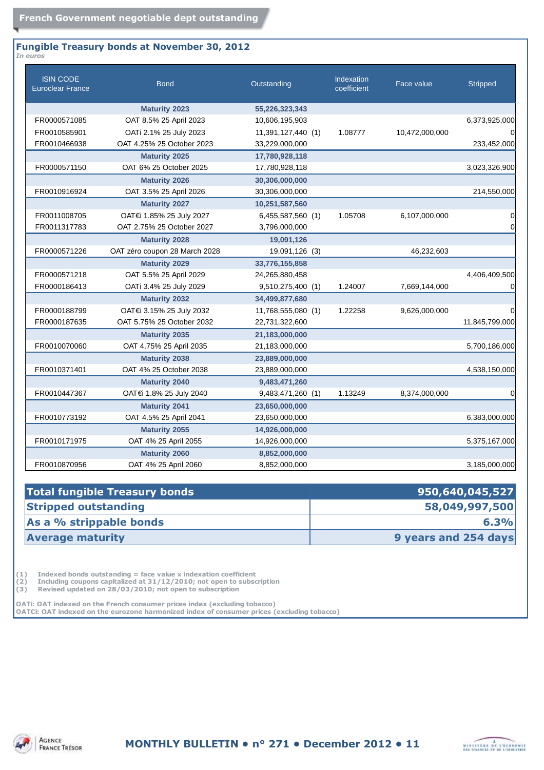#### **Fungible Treasury bonds at November 30, 2012** *In euros*

| <b>ISIN CODE</b><br><b>Euroclear France</b> | <b>Bond</b>                   | Outstanding        | <b>Indexation</b><br>coefficient | Face value     | <b>Stripped</b> |
|---------------------------------------------|-------------------------------|--------------------|----------------------------------|----------------|-----------------|
|                                             | <b>Maturity 2023</b>          | 55,226,323,343     |                                  |                |                 |
| FR0000571085                                | OAT 8.5% 25 April 2023        | 10,606,195,903     |                                  |                | 6,373,925,000   |
| FR0010585901                                | OATi 2.1% 25 July 2023        | 11,391,127,440 (1) | 1.08777                          | 10,472,000,000 | $\Omega$        |
| FR0010466938                                | OAT 4.25% 25 October 2023     | 33,229,000,000     |                                  |                | 233,452,000     |
|                                             | <b>Maturity 2025</b>          | 17,780,928,118     |                                  |                |                 |
| FR0000571150                                | OAT 6% 25 October 2025        | 17,780,928,118     |                                  |                | 3,023,326,900   |
|                                             | <b>Maturity 2026</b>          | 30,306,000,000     |                                  |                |                 |
| FR0010916924                                | OAT 3.5% 25 April 2026        | 30,306,000,000     |                                  |                | 214,550,000     |
|                                             | <b>Maturity 2027</b>          | 10,251,587,560     |                                  |                |                 |
| FR0011008705                                | OAT€i 1.85% 25 July 2027      | 6,455,587,560 (1)  | 1.05708                          | 6,107,000,000  | 0               |
| FR0011317783                                | OAT 2.75% 25 October 2027     | 3,796,000,000      |                                  |                | 0               |
|                                             | <b>Maturity 2028</b>          | 19,091,126         |                                  |                |                 |
| FR0000571226                                | OAT zéro coupon 28 March 2028 | 19,091,126 (3)     |                                  | 46,232,603     |                 |
|                                             | <b>Maturity 2029</b>          | 33,776,155,858     |                                  |                |                 |
| FR0000571218                                | OAT 5.5% 25 April 2029        | 24,265,880,458     |                                  |                | 4,406,409,500   |
| FR0000186413                                | OATi 3.4% 25 July 2029        | 9,510,275,400 (1)  | 1.24007                          | 7,669,144,000  | 0               |
|                                             | <b>Maturity 2032</b>          | 34,499,877,680     |                                  |                |                 |
| FR0000188799                                | OAT€i 3.15% 25 July 2032      | 11,768,555,080 (1) | 1.22258                          | 9,626,000,000  | 0               |
| FR0000187635                                | OAT 5.75% 25 October 2032     | 22,731,322,600     |                                  |                | 11,845,799,000  |
|                                             | <b>Maturity 2035</b>          | 21,183,000,000     |                                  |                |                 |
| FR0010070060                                | OAT 4.75% 25 April 2035       | 21,183,000,000     |                                  |                | 5,700,186,000   |
|                                             | <b>Maturity 2038</b>          | 23,889,000,000     |                                  |                |                 |
| FR0010371401                                | OAT 4% 25 October 2038        | 23,889,000,000     |                                  |                | 4,538,150,000   |
|                                             | <b>Maturity 2040</b>          | 9,483,471,260      |                                  |                |                 |
| FR0010447367                                | OAT€i 1.8% 25 July 2040       | 9,483,471,260 (1)  | 1.13249                          | 8,374,000,000  | 0               |
|                                             | <b>Maturity 2041</b>          | 23,650,000,000     |                                  |                |                 |
| FR0010773192                                | OAT 4.5% 25 April 2041        | 23,650,000,000     |                                  |                | 6,383,000,000   |
|                                             | <b>Maturity 2055</b>          | 14,926,000,000     |                                  |                |                 |
| FR0010171975                                | OAT 4% 25 April 2055          | 14,926,000,000     |                                  |                | 5,375,167,000   |
|                                             | <b>Maturity 2060</b>          | 8,852,000,000      |                                  |                |                 |
| FR0010870956                                | OAT 4% 25 April 2060          | 8,852,000,000      |                                  |                | 3,185,000,000   |

| 950,640,045,527      |
|----------------------|
| 58,049,997,500       |
| 6.3%                 |
| 9 years and 254 days |
|                      |

(1) Indexed bonds outstanding = face value x indexation coefficient<br>
(2) Including coupons capitalized at  $31/12/2010$ ; not open to subsc<br>
(3) Revised updated on 28/03/2010; not open to subscription **(2) Including coupons capitalized at 31/12/2010; not open to subscription**

**(3) Revised updated on 28/03/2010; not open to subscription**

**OATi: OAT indexed on the French consumer prices index (excluding tobacco) OAT€i: OAT indexed on the eurozone harmonized index of consumer prices (excluding tobacco)**